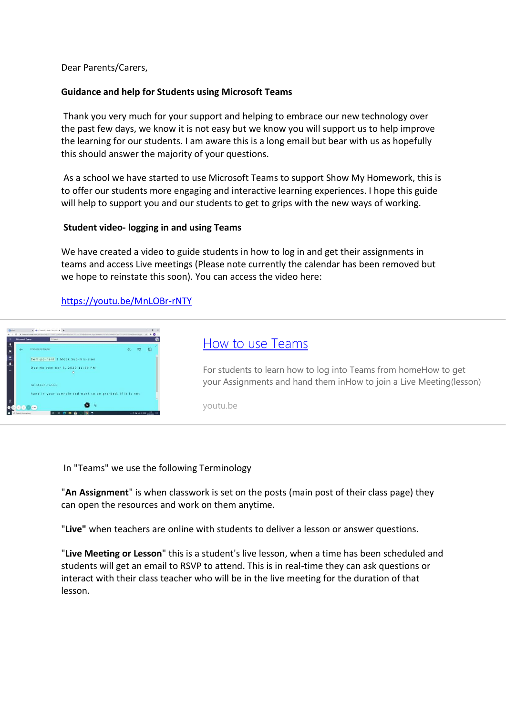Dear Parents/Carers,

#### **Guidance and help for Students using Microsoft Teams**

Thank you very much for your support and helping to embrace our new technology over the past few days, we know it is not easy but we know you will support us to help improve the learning for our students. I am aware this is a long email but bear with us as hopefully this should answer the majority of your questions.

As a school we have started to use Microsoft Teams to support Show My Homework, this is to offer our students more engaging and interactive learning experiences. I hope this guide will help to support you and our students to get to grips with the new ways of working.

#### **Student video- logging in and using Teams**

We have created a video to guide students in how to log in and get their assignments in teams and access Live meetings (Please note currently the calendar has been removed but we hope to reinstate this soon). You can access the video here:

## <https://youtu.be/MnLOBr-rNTY>

| your Assignments and hand them inHow to join a Live Meeting(lesson) |
|---------------------------------------------------------------------|
|                                                                     |
|                                                                     |

In "Teams" we use the following Terminology

"**An Assignment**" is when classwork is set on the posts (main post of their class page) they can open the resources and work on them anytime.

"**Live"** when teachers are online with students to deliver a lesson or answer questions.

"**Live Meeting or Lesson**" this is a student's live lesson, when a time has been scheduled and students will get an email to RSVP to attend. This is in real-time they can ask questions or interact with their class teacher who will be in the live meeting for the duration of that lesson.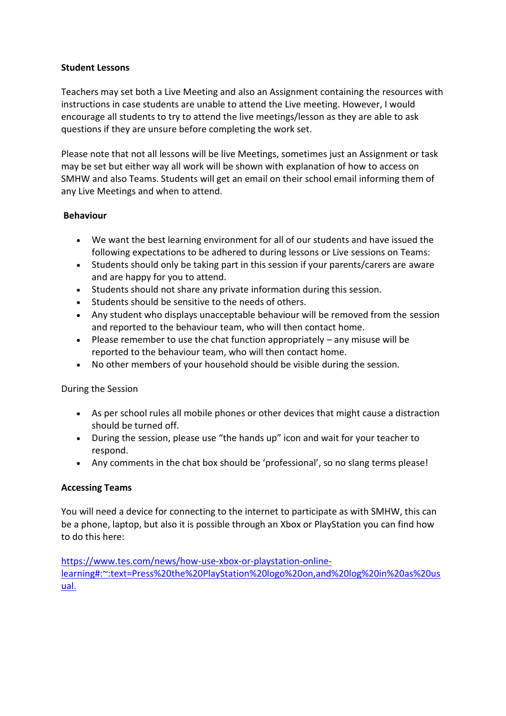## **Student Lessons**

Teachers may set both a Live Meeting and also an Assignment containing the resources with instructions in case students are unable to attend the Live meeting. However, I would encourage all students to try to attend the live meetings/lesson as they are able to ask questions if they are unsure before completing the work set.

Please note that not all lessons will be live Meetings, sometimes just an Assignment or task may be set but either way all work will be shown with explanation of how to access on SMHW and also Teams. Students will get an email on their school email informing them of any Live Meetings and when to attend.

## **Behaviour**

- We want the best learning environment for all of our students and have issued the following expectations to be adhered to during lessons or Live sessions on Teams:
- Students should only be taking part in this session if your parents/carers are aware and are happy for you to attend.
- Students should not share any private information during this session.
- Students should be sensitive to the needs of others.
- Any student who displays unacceptable behaviour will be removed from the session and reported to the behaviour team, who will then contact home.
- Please remember to use the chat function appropriately  $-$  any misuse will be reported to the behaviour team, who will then contact home.
- No other members of your household should be visible during the session.

During the Session

- As per school rules all mobile phones or other devices that might cause a distraction should be turned off.
- During the session, please use "the hands up" icon and wait for your teacher to respond.
- Any comments in the chat box should be 'professional', so no slang terms please!

## **Accessing Teams**

You will need a device for connecting to the internet to participate as with SMHW, this can be a phone, laptop, but also it is possible through an Xbox or PlayStation you can find how to do this here:

[https://www.tes.com/news/how-use-xbox-or-playstation-online](https://www.tes.com/news/how-use-xbox-or-playstation-online-learning#:~:text=Press%20the%20PlayStation%20logo%20on,and%20log%20in%20as%20usual.)[learning#:~:text=Press%20the%20PlayStation%20logo%20on,and%20log%20in%20as%20us](https://www.tes.com/news/how-use-xbox-or-playstation-online-learning#:~:text=Press%20the%20PlayStation%20logo%20on,and%20log%20in%20as%20usual.) [ual.](https://www.tes.com/news/how-use-xbox-or-playstation-online-learning#:~:text=Press%20the%20PlayStation%20logo%20on,and%20log%20in%20as%20usual.)